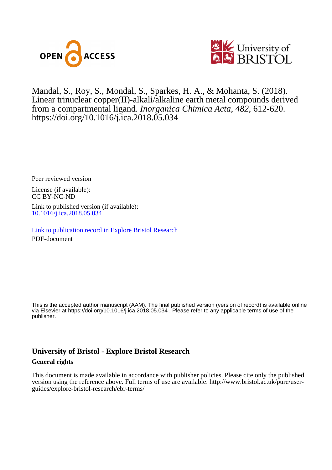



Mandal, S., Roy, S., Mondal, S. , Sparkes, H. A., & Mohanta, S. (2018). Linear trinuclear copper(II)-alkali/alkaline earth metal compounds derived from a compartmental ligand. *Inorganica Chimica Acta*, *482*, 612-620. <https://doi.org/10.1016/j.ica.2018.05.034>

Peer reviewed version

License (if available): CC BY-NC-ND

Link to published version (if available): [10.1016/j.ica.2018.05.034](https://doi.org/10.1016/j.ica.2018.05.034)

[Link to publication record in Explore Bristol Research](https://research-information.bris.ac.uk/en/publications/linear-trinuclear-copperiialkalialkaline-earth-metal-compounds-derived-from-a-compartmental-ligand(854c4bda-ffb6-4263-a0ff-5f8ba1dd70e8).html) PDF-document

This is the accepted author manuscript (AAM). The final published version (version of record) is available online via Elsevier at https://doi.org/10.1016/j.ica.2018.05.034 . Please refer to any applicable terms of use of the publisher.

# **University of Bristol - Explore Bristol Research General rights**

This document is made available in accordance with publisher policies. Please cite only the published version using the reference above. Full terms of use are available: http://www.bristol.ac.uk/pure/userguides/explore-bristol-research/ebr-terms/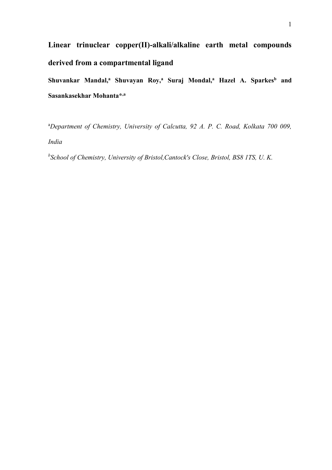# **Linear trinuclear copper(II)-alkali/alkaline earth metal compounds derived from a compartmental ligand**

**Shuvankar Mandal,<sup>a</sup> Shuvayan Roy,<sup>a</sup> Suraj Mondal,<sup>a</sup> Hazel A. Sparkes<sup>b</sup> and Sasankasekhar Mohanta\*,a**

<sup>a</sup>*Department of Chemistry, University of Calcutta, 92 A. P. C. Road, Kolkata 700 009, India*

*b School of Chemistry, University of Bristol,Cantock's Close, Bristol, BS8 1TS, U. K.*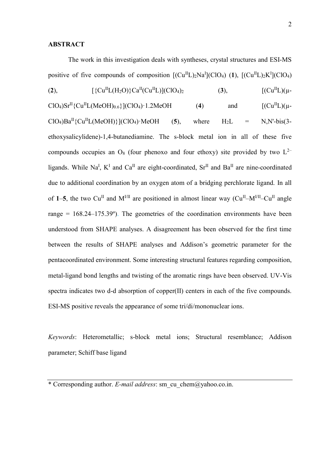### **ABSTRACT**

The work in this investigation deals with syntheses, crystal structures and ESI-MS positive of five compounds of composition  $[(Cu^{II}L)_{2}Na^{I}](ClO_{4})$  (1),  $[(Cu^{II}L)_{2}K^{I}](ClO_{4})$ (2),  $[\{Cu^{II}L(H_2O)\}Ca^{II}(Cu^{II}L)](ClO_4)_2$  (3),  $[(Cu^{II}L)(\mu ClO_4)$ Sr<sup>II</sup>{Cu<sup>II</sup>L(MeOH)<sub>0.6</sub>}](ClO<sub>4</sub>)·1.2MeOH (4) and  $[(Cu^{II}L)(\mu ClO<sub>4</sub>$ )Ba<sup>II</sup>{Cu<sup>II</sup>L(MeOH)}](ClO<sub>4</sub>)·MeOH (**5**), where H<sub>2</sub>L = N,N'-bis(3ethoxysalicylidene)-1,4-butanediamine. The s-block metal ion in all of these five compounds occupies an  $O_8$  (four phenoxo and four ethoxy) site provided by two  $L^{2-}$ ligands. While Na<sup>I</sup>, K<sup>I</sup> and Ca<sup>II</sup> are eight-coordinated, Sr<sup>II</sup> and Ba<sup>II</sup> are nine-coordinated due to additional coordination by an oxygen atom of a bridging perchlorate ligand. In all of 1–5, the two Cu<sup>II</sup> and  $M<sup>VII</sup>$  are positioned in almost linear way (Cu<sup>II</sup>– $M<sup>VII</sup>$ –Cu<sup>II</sup> angle range =  $168.24-175.39^{\circ}$ ). The geometries of the coordination environments have been understood from SHAPE analyses. A disagreement has been observed for the first time between the results of SHAPE analyses and Addison's geometric parameter for the pentacoordinated environment. Some interesting structural features regarding composition, metal-ligand bond lengths and twisting of the aromatic rings have been observed. UV-Vis spectra indicates two d-d absorption of copper(II) centers in each of the five compounds. ESI-MS positive reveals the appearance of some tri/di/mononuclear ions.

*Keywords*: Heterometallic; s-block metal ions; Structural resemblance; Addison parameter; Schiff base ligand

\* Corresponding author. *E-mail address*: sm\_cu\_chem@yahoo.co.in.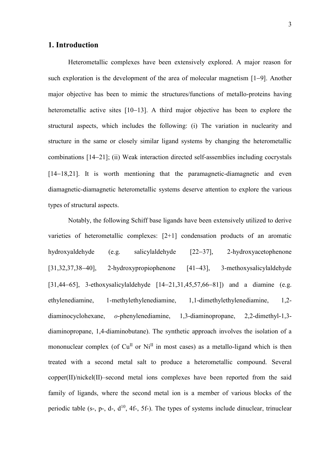## **1. Introduction**

Heterometallic complexes have been extensively explored. A major reason for such exploration is the development of the area of molecular magnetism [1−9]. Another major objective has been to mimic the structures/functions of metallo-proteins having heterometallic active sites [10−13]. A third major objective has been to explore the structural aspects, which includes the following: (i) The variation in nuclearity and structure in the same or closely similar ligand systems by changing the heterometallic combinations [14−21]; (ii) Weak interaction directed self-assemblies including cocrystals [14−18,21]. It is worth mentioning that the paramagnetic-diamagnetic and even diamagnetic-diamagnetic heterometallic systems deserve attention to explore the various types of structural aspects.

Notably, the following Schiff base ligands have been extensively utilized to derive varieties of heterometallic complexes: [2+1] condensation products of an aromatic hydroxyaldehyde (e.g. salicylaldehyde [22−37], 2-hydroxyacetophenone [31,32,37,38−40], 2-hydroxypropiophenone [41−43], 3-methoxysalicylaldehyde [31,44−65], 3-ethoxysalicylaldehyde [14−21,31,45,57,66−81]) and a diamine (e.g. ethylenediamine, 1-methylethylenediamine, 1,1-dimethylethylenediamine, 1,2 diaminocyclohexane, *o*-phenylenediamine, 1,3-diaminopropane, 2,2-dimethyl-1,3 diaminopropane, 1,4-diaminobutane). The synthetic approach involves the isolation of a mononuclear complex (of  $Cu<sup>H</sup>$  or  $Ni<sup>H</sup>$  in most cases) as a metallo-ligand which is then treated with a second metal salt to produce a heterometallic compound. Several  $copper(II)/nickel(II)-second metal ions complexes have been reported from the said$ family of ligands, where the second metal ion is a member of various blocks of the periodic table (s-, p-, d-,  $d^{10}$ , 4f-, 5f-). The types of systems include dinuclear, trinuclear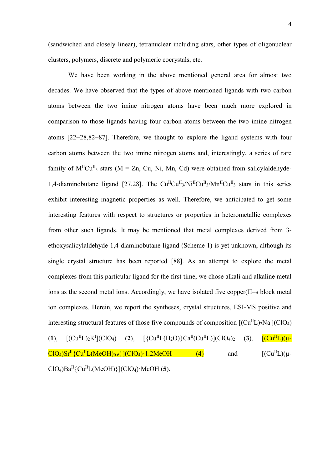(sandwiched and closely linear), tetranuclear including stars, other types of oligonuclear clusters, polymers, discrete and polymeric cocrystals, etc.

We have been working in the above mentioned general area for almost two decades. We have observed that the types of above mentioned ligands with two carbon atoms between the two imine nitrogen atoms have been much more explored in comparison to those ligands having four carbon atoms between the two imine nitrogen atoms [22−28,82−87]. Therefore, we thought to explore the ligand systems with four carbon atoms between the two imine nitrogen atoms and, interestingly, a series of rare family of  $M^{\text{II}}Cu^{\text{II}}$ <sub>3</sub> stars (M = Zn, Cu, Ni, Mn, Cd) were obtained from salicylaldehyde-1,4-diaminobutane ligand [27,28]. The  $Cu<sup>II</sup>Cu<sup>II</sup><sub>3</sub>/Ni<sup>II</sup>Cu<sup>II</sup><sub>3</sub>/Mn<sup>II</sup>Cu<sup>II</sup><sub>3</sub> stars in this series$ exhibit interesting magnetic properties as well. Therefore, we anticipated to get some interesting features with respect to structures or properties in heterometallic complexes from other such ligands. It may be mentioned that metal complexes derived from 3 ethoxysalicylaldehyde-1,4-diaminobutane ligand (Scheme 1) is yet unknown, although its single crystal structure has been reported [88]. As an attempt to explore the metal complexes from this particular ligand for the first time, we chose alkali and alkaline metal ions as the second metal ions. Accordingly, we have isolated five copper(II–s block metal ion complexes. Herein, we report the syntheses, crystal structures, ESI-MS positive and interesting structural features of those five compounds of composition  $[(Cu^{II}L)_{2}Na^{I}](ClO<sub>4</sub>)$  $(1), \quad [({\rm Cu}^{\rm II}L)_2K^{\rm I}]$  $[\{Cu^{II}L(H_2O)\}Ca^{II}(Cu^{II}L)](ClO_4)_2$  (3),  $[\{Cu^{II}L)(\mu ClO_4)$ Sr<sup>II</sup>{Cu<sup>II</sup>L(MeOH)<sub>0.6</sub>}](ClO<sub>4</sub>)·1.2MeOH (4) and  $[(Cu^{II}L)(\mu ClO_4)Ba<sup>H</sup>{Cu<sup>H</sup>L(MeOH)}[ClO_4)·MeOH$  (5).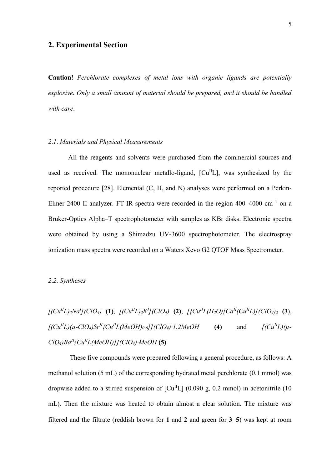# **2. Experimental Section**

**Caution!** *Perchlorate complexes of metal ions with organic ligands are potentially explosive. Only a small amount of material should be prepared, and it should be handled with care*.

#### *2*.*1*. *Materials and Physical Measurements*

All the reagents and solvents were purchased from the commercial sources and used as received. The mononuclear metallo-ligand,  $\lbrack Cu^{II}L \rbrack$ , was synthesized by the reported procedure [28]. Elemental (C, H, and N) analyses were performed on a Perkin-Elmer 2400 II analyzer. FT-IR spectra were recorded in the region 400–4000 cm<sup>-1</sup> on a Bruker-Optics Alpha–T spectrophotometer with samples as KBr disks. Electronic spectra were obtained by using a Shimadzu UV-3600 spectrophotometer. The electrospray ionization mass spectra were recorded on a Waters Xevo G2 QTOF Mass Spectrometer.

#### *2*.*2*. *Syntheses*

$$
[(Cu^{II}L)_{2}Na^{I}](ClO_{4}) (1), [(Cu^{II}L)_{2}K^{I}](ClO_{4}) (2), [(Cu^{II}L(H_{2}O))^{C}Ca^{II}(Cu^{II}L)]^{C}ClO_{4})_{2} (3), [(Cu^{II}L)(\mu-CIO_{4})Sr^{II}^{C}Cu^{II}L(MeOH)_{0.6}]^{C}ClO_{4}) \cdot 1.2MeOH (4) \qquad \text{and} \qquad [(Cu^{II}L)(\mu-CIO_{4})Ba^{II}^{C}Cu^{II}L(MeOH)]^{C}ClO_{4}) \cdot MeOH (5)
$$

These five compounds were prepared following a general procedure, as follows: A methanol solution (5 mL) of the corresponding hydrated metal perchlorate (0.1 mmol) was dropwise added to a stirred suspension of  $\lceil Cu^{II}L \rceil$  (0.090 g, 0.2 mmol) in acetonitrile (10 mL). Then the mixture was heated to obtain almost a clear solution. The mixture was filtered and the filtrate (reddish brown for **1** and **2** and green for **3**−**5**) was kept at room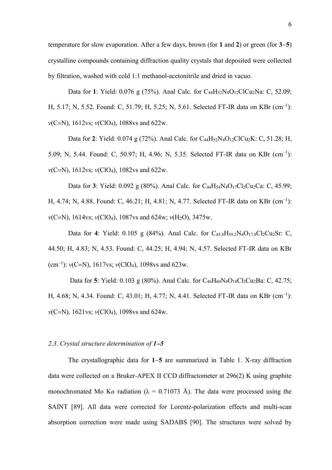temperature for slow evaporation. After a few days, brown (for **1** and **2**) or green (for **3**−**5**) crystalline compounds containing diffraction quality crystals that deposited were collected by filtration, washed with cold 1:1 methanol-acetonitrile and dried in vacuo.

Data for 1: Yield: 0.076 g (75%). Anal Calc. for C<sub>44</sub>H<sub>52</sub>N<sub>4</sub>O<sub>12</sub>ClCu<sub>2</sub>Na: C, 52.09; H, 5.17; N, 5.52. Found: C, 51.79; H, 5.25; N, 5.61. Selected FT-IR data on KBr (cm<sup>-1</sup>): *ν*(C=N), 1612vs; *ν*(ClO<sub>4</sub>), 1088vs and 622w.

Data for 2: Yield: 0.074 g (72%). Anal Calc. for C<sub>44</sub>H<sub>52</sub>N<sub>4</sub>O<sub>12</sub>ClCu<sub>2</sub>K: C, 51.28; H, 5.09; N, 5.44. Found: C, 50.97; H, 4.96; N, 5.35. Selected FT-IR data on KBr (cm<sup>-1</sup>): *ν*(C=N), 1612*vs*; *ν*(ClO<sub>4</sub>), 1082*vs* and 622*w*.

Data for **3**: Yield: 0.092 g (80%). Anal Calc. for C<sub>44</sub>H<sub>54</sub>N<sub>4</sub>O<sub>17</sub>Cl<sub>2</sub>Cu<sub>2</sub>Ca: C, 45.99; H, 4.74; N, 4.88. Found: C, 46.21; H, 4.81; N, 4.77. Selected FT-IR data on KBr (cm<sup>-1</sup>): *ν*(C=N), 1614vs; *ν*(ClO<sub>4</sub>), 1087vs and 624w; *ν*(H<sub>2</sub>O), 3475w.

Data for **4**: Yield: 0.105 g (84%). Anal Calc. for C45.8H59.2N4O17.8Cl2Cu2Sr: C, 44.50; H, 4.83; N, 4.53. Found: C, 44.25; H, 4.94; N, 4.57. Selected FT-IR data on KBr (cm–<sup>1</sup> ): *ν*(C=N), 1617vs; *ν*(ClO4), 1098vs and 623w.

Data for **5**: Yield: 0.103 g (80%). Anal Calc. for  $C_{46}H_{60}N_4O_{18}Cl_2Cu_2Ba$ : C, 42.75; H, 4.68; N, 4.34. Found: C, 43.01; H, 4.77; N, 4.41. Selected FT-IR data on KBr (cm<sup>-1</sup>): *ν*(C=N), 1621vs; *ν*(ClO<sub>4</sub>), 1098vs and 624w.

#### *2*.*3*. *Crystal structure determination of 1*−*5*

The crystallographic data for **1**−**5** are summarized in Table 1. X-ray diffraction data were collected on a Bruker-APEX II CCD diffractometer at 296(2) K using graphite monochromated Mo K $\alpha$  radiation ( $\lambda = 0.71073$  Å). The data were processed using the SAINT [89]. All data were corrected for Lorentz-polarization effects and multi-scan absorption correction were made using SADABS [90]. The structures were solved by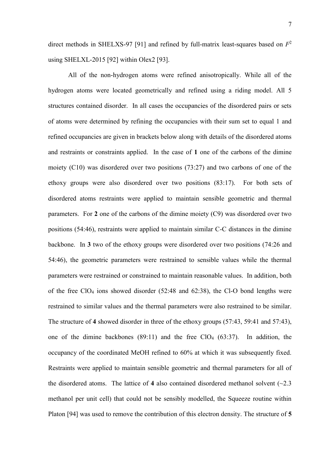direct methods in SHELXS-97 [91] and refined by full-matrix least-squares based on *F* 2 using SHELXL-2015 [92] within Olex2 [93].

All of the non-hydrogen atoms were refined anisotropically. While all of the hydrogen atoms were located geometrically and refined using a riding model. All 5 structures contained disorder. In all cases the occupancies of the disordered pairs or sets of atoms were determined by refining the occupancies with their sum set to equal 1 and refined occupancies are given in brackets below along with details of the disordered atoms and restraints or constraints applied. In the case of **1** one of the carbons of the dimine moiety (C10) was disordered over two positions (73:27) and two carbons of one of the ethoxy groups were also disordered over two positions (83:17). For both sets of disordered atoms restraints were applied to maintain sensible geometric and thermal parameters. For **2** one of the carbons of the dimine moiety (C9) was disordered over two positions (54:46), restraints were applied to maintain similar C-C distances in the dimine backbone. In **3** two of the ethoxy groups were disordered over two positions (74:26 and 54:46), the geometric parameters were restrained to sensible values while the thermal parameters were restrained or constrained to maintain reasonable values. In addition, both of the free  $ClO<sub>4</sub>$  ions showed disorder (52:48 and 62:38), the Cl-O bond lengths were restrained to similar values and the thermal parameters were also restrained to be similar. The structure of **4** showed disorder in three of the ethoxy groups (57:43, 59:41 and 57:43), one of the dimine backbones  $(89:11)$  and the free ClO<sub>4</sub>  $(63:37)$ . In addition, the occupancy of the coordinated MeOH refined to 60% at which it was subsequently fixed. Restraints were applied to maintain sensible geometric and thermal parameters for all of the disordered atoms. The lattice of 4 also contained disordered methanol solvent  $(\sim 2.3)$ methanol per unit cell) that could not be sensibly modelled, the Squeeze routine within Platon [94] was used to remove the contribution of this electron density. The structure of **5**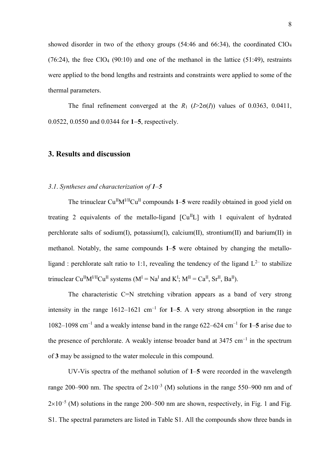showed disorder in two of the ethoxy groups (54:46 and 66:34), the coordinated ClO<sup>4</sup> (76:24), the free ClO<sub>4</sub> (90:10) and one of the methanol in the lattice (51:49), restraints were applied to the bond lengths and restraints and constraints were applied to some of the thermal parameters.

The final refinement converged at the  $R_1$  ( $\frac{1}{2}\sigma(I)$ ) values of 0.0363, 0.0411, 0.0522, 0.0550 and 0.0344 for **1**−**5**, respectively.

## **3. Results and discussion**

#### *3*.*1*. *Syntheses and characterization of 1–5*

The trinuclear  $Cu^{II}M^{VII}Cu^{II}$  compounds  $1-5$  were readily obtained in good yield on treating 2 equivalents of the metallo-ligand  $\lceil Cu^{II}L \rceil$  with 1 equivalent of hydrated perchlorate salts of sodium(I), potassium(I), calcium(II), strontium(II) and barium(II) in methanol. Notably, the same compounds **1**–**5** were obtained by changing the metalloligand : perchlorate salt ratio to 1:1, revealing the tendency of the ligand  $L^{2-}$  to stabilize trinuclear Cu<sup>II</sup>M<sup>I/II</sup>Cu<sup>II</sup> systems (M<sup>I</sup> = Na<sup>I</sup> and K<sup>I</sup>; M<sup>II</sup> = Ca<sup>II</sup>, Sr<sup>II</sup>, Ba<sup>II</sup>).

The characteristic C=N stretching vibration appears as a band of very strong intensity in the range  $1612-1621$  cm<sup>-1</sup> for 1-5. A very strong absorption in the range 1082–1098 cm–<sup>1</sup> and a weakly intense band in the range 622–624 cm–<sup>1</sup> for **1**–**5** arise due to the presence of perchlorate. A weakly intense broader band at  $3475 \text{ cm}^{-1}$  in the spectrum of **3** may be assigned to the water molecule in this compound.

UV-Vis spectra of the methanol solution of **1**–**5** were recorded in the wavelength range 200–900 nm. The spectra of  $2\times10^{-3}$  (M) solutions in the range 550–900 nm and of  $2\times10^{-5}$  (M) solutions in the range 200–500 nm are shown, respectively, in Fig. 1 and Fig. S1. The spectral parameters are listed in Table S1. All the compounds show three bands in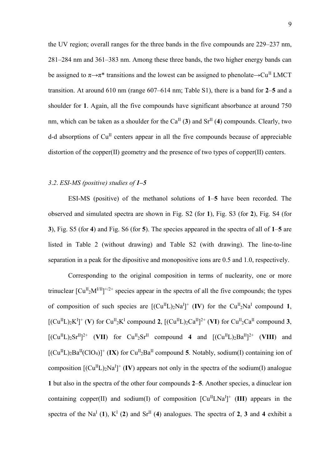the UV region; overall ranges for the three bands in the five compounds are 229–237 nm, 281–284 nm and 361–383 nm. Among these three bands, the two higher energy bands can be assigned to  $\pi \rightarrow \pi^*$  transitions and the lowest can be assigned to phenolate $\rightarrow Cu^{II}$  LMCT transition. At around 610 nm (range 607–614 nm; Table S1), there is a band for **2**–**5** and a shoulder for **1**. Again, all the five compounds have significant absorbance at around 750 nm, which can be taken as a shoulder for the  $Ca^{II}$  (3) and  $Sr^{II}$  (4) compounds. Clearly, two d-d absorptions of  $Cu<sup>H</sup>$  centers appear in all the five compounds because of appreciable distortion of the copper(II) geometry and the presence of two types of copper(II) centers.

#### *3*.*2*. *ESI-MS (positive) studies of 1–5*

ESI-MS (positive) of the methanol solutions of **1**–**5** have been recorded. The observed and simulated spectra are shown in Fig. S2 (for **1**), Fig. S3 (for **2**), Fig. S4 (for **3**), Fig. S5 (for **4**) and Fig. S6 (for **5**). The species appeared in the spectra of all of **1**–**5** are listed in Table 2 (without drawing) and Table S2 (with drawing). The line-to-line separation in a peak for the dipositive and monopositive ions are 0.5 and 1.0, respectively.

Corresponding to the original composition in terms of nuclearity, one or more trinuclear  $\text{[Cu}^{\text{II}}_{2}\text{M}^{\text{VII}}\text{]}^{+/2+}$  species appear in the spectra of all the five compounds; the types of composition of such species are  $[(Cu^{II}L)_{2}Na^{I}]^{+}$  (IV) for the  $Cu^{II}{}_{2}Na^{I}$  compound 1,  $[(Cu^{II}L)_{2}K^{I}]^{+}$  (V) for Cu<sup>II</sup><sub>2</sub>K<sup>I</sup> compound 2,  $[(Cu^{II}L)_{2}Ca^{II}]^{2+}$  (VI) for Cu<sup>II</sup><sub>2</sub>Ca<sup>II</sup> compound 3,  $[({\rm Cu}^{\rm II}L)_2{\rm Sr}^{\rm II}]^{2+}$  (VII) for  ${\rm Cu}^{\rm II}{}_2{\rm Sr}^{\rm II}$  compound 4 and  $[({\rm Cu}^{\rm II}L)_2{\rm Ba}^{\rm II}]^{2+}$  (VIII) and  $[({\rm Cu}^{\rm II}L)_2{\rm Ba}^{\rm II}({\rm ClO}_4)]^+$  (IX) for  ${\rm Cu}^{\rm II}{}_2{\rm Ba}^{\rm II}$  compound 5. Notably, sodium(I) containing ion of composition  $[(Cu^{II}L)_{2}Na^{I}]^{+}$  (IV) appears not only in the spectra of the sodium(I) analogue **1** but also in the spectra of the other four compounds **2**–**5**. Another species, a dinuclear ion containing copper(II) and sodium(I) of composition  $\left[\mathrm{Cu}^{\mathrm{II}}\mathrm{L}\mathrm{Na}^{\mathrm{I}}\right]^{+}$  (III) appears in the spectra of the Na<sup>I</sup> (1), K<sup>I</sup> (2) and Sr<sup>II</sup> (4) analogues. The spectra of 2, 3 and 4 exhibit a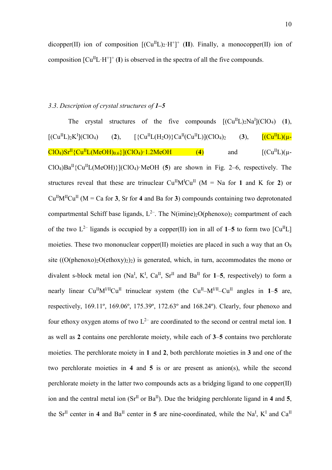dicopper(II) ion of composition  $[(Cu^{II}L)_{2} \cdot H^{+}]^{+}$  (II). Finally, a monocopper(II) ion of composition  $\left[\mathrm{Cu}^{\mathrm{II}}\mathrm{L}\cdot\mathrm{H}^{\dagger}\right]^{+}(\mathbf{I})$  is observed in the spectra of all the five compounds.

## *3*.*3*. *Description of crystal structures of 1–5*

The crystal structures of the five compounds  $[(Cu^{II}L)_{2}Na^{I}](ClO_4)$  (1),  $[{\rm [Cu^{II}L)_2K^I}$  $(2)$ ,  $[\{Cu^{II}L(H_2O)\}Ca^{II}(Cu^{II}L)](ClO_4)_2$  (3),  $[\{Cu^{II}L)(\mu ClO_4)$ Sr<sup>II</sup>{Cu<sup>II</sup>L(MeOH)<sub>0.6</sub>}](ClO<sub>4</sub>)·1.2MeOH (4) and  $[(Cu^{II}L)(\mu ClO<sub>4</sub>$  $Ba<sup>II</sup>$ {Cu<sup>II</sup>L(MeOH)}](ClO<sub>4</sub>)·MeOH (5) are shown in Fig. 2–6, respectively. The structures reveal that these are trinuclear  $Cu^{II}M^{I}Cu^{II}$  (M = Na for 1 and K for 2) or  $Cu<sup>H</sup>M<sup>H</sup>Cu<sup>H</sup>$  (M = Ca for **3**, Sr for **4** and Ba for **3**) compounds containing two deprotonated compartmental Schiff base ligands,  $L^{2-}$ . The N(imine)<sub>2</sub>O(phenoxo)<sub>2</sub> compartment of each of the two  $L^{2-}$  ligands is occupied by a copper(II) ion in all of  $1-5$  to form two  $\lbrack Cu^{II}L \rbrack$ moieties. These two mononuclear copper(II) moieties are placed in such a way that an  $O_8$ site  $((O(phenoxo)<sub>2</sub>O(ethoxy)<sub>2</sub>)<sub>2</sub>)$  is generated, which, in turn, accommodates the mono or divalent s-block metal ion (Na<sup>I</sup>, K<sup>I</sup>, Ca<sup>II</sup>, Sr<sup>II</sup> and Ba<sup>II</sup> for 1–5, respectively) to form a nearly linear  $Cu^{II}M^{VII}Cu^{II}$  trinuclear system (the  $Cu^{II}-M^{VII}-Cu^{II}$  angles in 1–5 are, respectively, 169.11º, 169.06º, 175.39º, 172.63º and 168.24º). Clearly, four phenoxo and four ethoxy oxygen atoms of two  $L^{2-}$  are coordinated to the second or central metal ion. **1** as well as **2** contains one perchlorate moiety, while each of **3**–**5** contains two perchlorate moieties. The perchlorate moiety in **1** and **2**, both perchlorate moieties in **3** and one of the two perchlorate moieties in **4** and **5** is or are present as anion(s), while the second perchlorate moiety in the latter two compounds acts as a bridging ligand to one copper(II) ion and the central metal ion  $(Sr^{\text{II}}$  or  $Ba^{\text{II}})$ . Due the bridging perchlorate ligand in 4 and 5, the Sr<sup>II</sup> center in 4 and  $Ba<sup>II</sup>$  center in 5 are nine-coordinated, while the Na<sup>I</sup>, K<sup>I</sup> and Ca<sup>II</sup>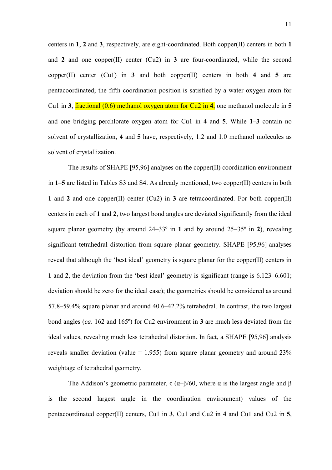centers in **1**, **2** and **3**, respectively, are eight-coordinated. Both copper(II) centers in both **1** and **2** and one copper(II) center (Cu2) in **3** are four-coordinated, while the second copper(II) center (Cu1) in **3** and both copper(II) centers in both **4** and **5** are pentacoordinated; the fifth coordination position is satisfied by a water oxygen atom for Cu1 in **3**, fractional (0.6) methanol oxygen atom for Cu2 in **4**, one methanol molecule in **5** and one bridging perchlorate oxygen atom for Cu1 in **4** and **5**. While **1**–**3** contain no solvent of crystallization, **4** and **5** have, respectively, 1.2 and 1.0 methanol molecules as solvent of crystallization.

The results of SHAPE [95,96] analyses on the copper(II) coordination environment in **1**–**5** are listed in Tables S3 and S4. As already mentioned, two copper(II) centers in both **1** and **2** and one copper(II) center (Cu2) in **3** are tetracoordinated. For both copper(II) centers in each of **1** and **2**, two largest bond angles are deviated significantly from the ideal square planar geometry (by around 24–33º in **1** and by around 25–35º in **2**), revealing significant tetrahedral distortion from square planar geometry. SHAPE [95,96] analyses reveal that although the 'best ideal' geometry is square planar for the copper(II) centers in **1** and **2**, the deviation from the 'best ideal' geometry is significant (range is 6.123–6.601; deviation should be zero for the ideal case); the geometries should be considered as around 57.8–59.4% square planar and around 40.6–42.2% tetrahedral. In contrast, the two largest bond angles (*ca*. 162 and 165º) for Cu2 environment in **3** are much less deviated from the ideal values, revealing much less tetrahedral distortion. In fact, a SHAPE [95,96] analysis reveals smaller deviation (value = 1.955) from square planar geometry and around 23% weightage of tetrahedral geometry.

The Addison's geometric parameter,  $\tau$  ( $\alpha$ - $\beta$ /60, where  $\alpha$  is the largest angle and  $\beta$ is the second largest angle in the coordination environment) values of the pentacoordinated copper(II) centers, Cu1 in **3**, Cu1 and Cu2 in **4** and Cu1 and Cu2 in **5**,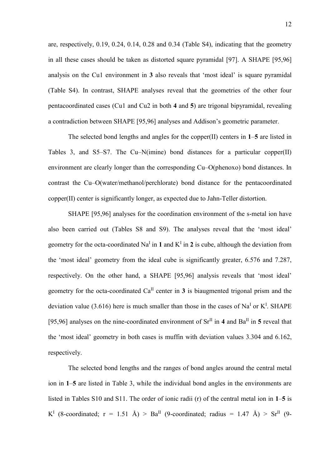are, respectively, 0.19, 0.24, 0.14, 0.28 and 0.34 (Table S4), indicating that the geometry in all these cases should be taken as distorted square pyramidal [97]. A SHAPE [95,96] analysis on the Cu1 environment in **3** also reveals that 'most ideal' is square pyramidal (Table S4). In contrast, SHAPE analyses reveal that the geometries of the other four pentacoordinated cases (Cu1 and Cu2 in both **4** and **5**) are trigonal bipyramidal, revealing a contradiction between SHAPE [95,96] analyses and Addison's geometric parameter.

The selected bond lengths and angles for the copper(II) centers in **1**–**5** are listed in Tables 3, and S5–S7. The Cu–N(imine) bond distances for a particular copper(II) environment are clearly longer than the corresponding Cu–O(phenoxo) bond distances. In contrast the Cu–O(water/methanol/perchlorate) bond distance for the pentacoordinated copper(II) center is significantly longer, as expected due to Jahn-Teller distortion.

SHAPE [95,96] analyses for the coordination environment of the s-metal ion have also been carried out (Tables S8 and S9). The analyses reveal that the 'most ideal' geometry for the octa-coordinated  $Na<sup>I</sup>$  in 1 and  $K<sup>I</sup>$  in 2 is cube, although the deviation from the 'most ideal' geometry from the ideal cube is significantly greater, 6.576 and 7.287, respectively. On the other hand, a SHAPE [95,96] analysis reveals that 'most ideal' geometry for the octa-coordinated  $Ca^{II}$  center in **3** is biaugmented trigonal prism and the deviation value (3.616) here is much smaller than those in the cases of Na<sup>I</sup> or K<sup>I</sup>. SHAPE [95,96] analyses on the nine-coordinated environment of  $\text{Sr}^{\text{II}}$  in 4 and  $\text{Ba}^{\text{II}}$  in 5 reveal that the 'most ideal' geometry in both cases is muffin with deviation values 3.304 and 6.162, respectively.

The selected bond lengths and the ranges of bond angles around the central metal ion in **1**–**5** are listed in Table 3, while the individual bond angles in the environments are listed in Tables S10 and S11. The order of ionic radii (r) of the central metal ion in **1**–**5** is  $K^I$  (8-coordinated; r = 1.51 Å) > Ba<sup>II</sup> (9-coordinated; radius = 1.47 Å) > Sr<sup>II</sup> (9-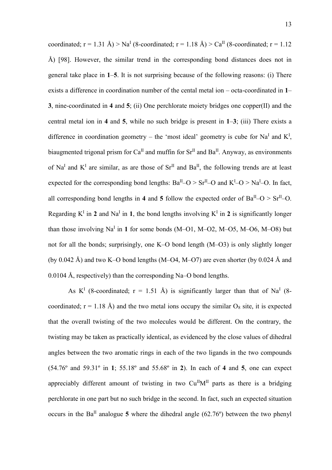coordinated;  $r = 1.31 \text{ Å}$ ) > Na<sup>I</sup> (8-coordinated;  $r = 1.18 \text{ Å}$ ) > Ca<sup>II</sup> (8-coordinated;  $r = 1.12$ Å) [98]. However, the similar trend in the corresponding bond distances does not in general take place in **1**–**5**. It is not surprising because of the following reasons: (i) There exists a difference in coordination number of the cental metal ion – octa-coordinated in **1**– **3**, nine-coordinated in **4** and **5**; (ii) One perchlorate moiety bridges one copper(II) and the central metal ion in **4** and **5**, while no such bridge is present in **1**–**3**; (iii) There exists a difference in coordination geometry – the 'most ideal' geometry is cube for Na<sup>I</sup> and  $K^I$ , biaugmented trigonal prism for Ca<sup>II</sup> and muffin for  $Sr^{II}$  and  $Ba^{II}$ . Anyway, as environments of Na<sup>I</sup> and  $K<sup>I</sup>$  are similar, as are those of Sr<sup>II</sup> and Ba<sup>II</sup>, the following trends are at least expected for the corresponding bond lengths:  $Ba^{II} - O > Sr^{II} - O$  and  $K^{I} - O > Na^{I} - O$ . In fact, all corresponding bond lengths in 4 and 5 follow the expected order of  $Ba<sup>H</sup>$ -O >  $Sr<sup>H</sup>$ -O. Regarding  $K^I$  in 2 and  $Na^I$  in 1, the bond lengths involving  $K^I$  in 2 is significantly longer than those involving  $Na<sup>I</sup>$  in 1 for some bonds (M-O1, M-O2, M-O5, M-O6, M-O8) but not for all the bonds; surprisingly, one K–O bond length (M–O3) is only slightly longer (by 0.042 Å) and two K–O bond lengths  $(M–O4, M–O7)$  are even shorter (by 0.024 Å and 0.0104 Å, respectively) than the corresponding Na–O bond lengths.

As K<sup>1</sup> (8-coordinated;  $r = 1.51$  Å) is significantly larger than that of Na<sup>1</sup> (8coordinated;  $r = 1.18$  Å) and the two metal ions occupy the similar  $O_8$  site, it is expected that the overall twisting of the two molecules would be different. On the contrary, the twisting may be taken as practically identical, as evidenced by the close values of dihedral angles between the two aromatic rings in each of the two ligands in the two compounds (54.76º and 59.31º in **1**; 55.18º and 55.68º in **2**). In each of **4** and **5**, one can expect appreciably different amount of twisting in two  $Cu<sup>H</sup>M<sup>H</sup>$  parts as there is a bridging perchlorate in one part but no such bridge in the second. In fact, such an expected situation occurs in the  $Ba^{II}$  analogue 5 where the dihedral angle (62.76°) between the two phenyl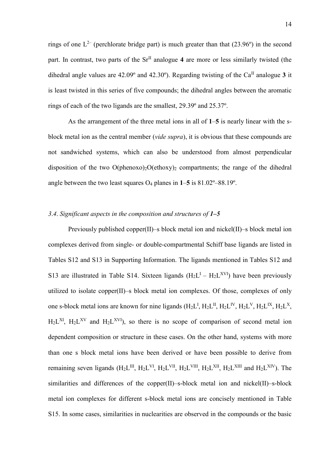rings of one  $L^{2-}$  (perchlorate bridge part) is much greater than that (23.96°) in the second part. In contrast, two parts of the Sr<sup>II</sup> analogue 4 are more or less similarly twisted (the dihedral angle values are 42.09° and 42.30°). Regarding twisting of the Ca<sup>II</sup> analogue 3 it is least twisted in this series of five compounds; the dihedral angles between the aromatic rings of each of the two ligands are the smallest, 29.39º and 25.37º.

As the arrangement of the three metal ions in all of **1**–**5** is nearly linear with the sblock metal ion as the central member (*vide supra*), it is obvious that these compounds are not sandwiched systems, which can also be understood from almost perpendicular disposition of the two  $O(\text{phenoxo})_2O(\text{ethoxy})_2$  compartments; the range of the dihedral angle between the two least squares  $O_4$  planes in  $1-5$  is  $81.02^\circ - 88.19^\circ$ .

## *3*.*4*. *Significant aspects in the composition and structures of 1–5*

Previously published copper(II)–s block metal ion and nickel(II)–s block metal ion complexes derived from single- or double-compartmental Schiff base ligands are listed in Tables S12 and S13 in Supporting Information. The ligands mentioned in Tables S12 and S13 are illustrated in Table S14. Sixteen ligands  $(H_2L<sup>I</sup> - H_2L<sup>XVI</sup>)$  have been previously utilized to isolate copper(II)–s block metal ion complexes. Of those, complexes of only one s-block metal ions are known for nine ligands  $(H_2L^I, H_2L^{II}, H_2L^{IV}, H_2L^{V}, H_2L^{IX}, H_2L^{X},$  $H_2L^{XI}$ ,  $H_2L^{XV}$  and  $H_2L^{XVI}$ ), so there is no scope of comparison of second metal ion dependent composition or structure in these cases. On the other hand, systems with more than one s block metal ions have been derived or have been possible to derive from remaining seven ligands ( $H_2L^{III}$ ,  $H_2L^{VI}$ ,  $H_2L^{VII}$ ,  $H_2L^{VIII}$ ,  $H_2L^{XII}$ ,  $H_2L^{XIII}$  and  $H_2L^{XIV}$ ). The similarities and differences of the copper(II)–s-block metal ion and nickel(II)–s-block metal ion complexes for different s-block metal ions are concisely mentioned in Table S15. In some cases, similarities in nuclearities are observed in the compounds or the basic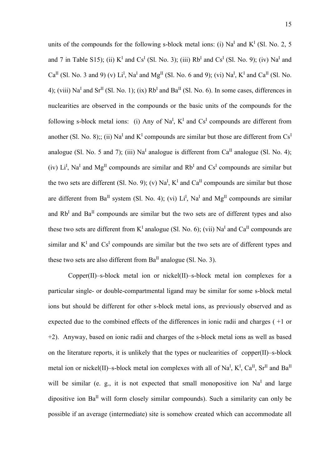units of the compounds for the following s-block metal ions: (i)  $Na<sup>I</sup>$  and  $K<sup>I</sup>$  (Sl. No. 2, 5 and 7 in Table S15); (ii)  $K<sup>I</sup>$  and Cs<sup>I</sup> (Sl. No. 3); (iii)  $Rb<sup>I</sup>$  and Cs<sup>I</sup> (Sl. No. 9); (iv) Na<sup>I</sup> and Ca<sup>II</sup> (Sl. No. 3 and 9) (v) Li<sup>I</sup>, Na<sup>I</sup> and Mg<sup>II</sup> (Sl. No. 6 and 9); (vi) Na<sup>I</sup>, K<sup>I</sup> and Ca<sup>II</sup> (Sl. No. 4); (viii) Na<sup>I</sup> and Sr<sup>II</sup> (Sl. No. 1); (ix) Rb<sup>I</sup> and Ba<sup>II</sup> (Sl. No. 6). In some cases, differences in nuclearities are observed in the compounds or the basic units of the compounds for the following s-block metal ions: (i) Any of Na<sup>I</sup>,  $K<sup>I</sup>$  and Cs<sup>I</sup> compounds are different from another (Sl. No. 8);; (ii)  $Na<sup>I</sup>$  and  $K<sup>I</sup>$  compounds are similar but those are different from  $Cs<sup>I</sup>$ analogue (Sl. No. 5 and 7); (iii)  $Na<sup>I</sup>$  analogue is different from  $Ca<sup>II</sup>$  analogue (Sl. No. 4); (iv)  $Li<sup>I</sup>$ , Na<sup>I</sup> and Mg<sup>II</sup> compounds are similar and Rb<sup>I</sup> and Cs<sup>I</sup> compounds are similar but the two sets are different (Sl. No. 9); (v)  $Na<sup>I</sup>$ ,  $K<sup>I</sup>$  and  $Ca<sup>II</sup>$  compounds are similar but those are different from  $Ba^{II}$  system (Sl. No. 4); (vi)  $Li^{I}$ , Na<sup>I</sup> and Mg<sup>II</sup> compounds are similar and  $Rb<sup>I</sup>$  and  $Ba<sup>II</sup>$  compounds are similar but the two sets are of different types and also these two sets are different from  $K<sup>I</sup>$  analogue (Sl. No. 6); (vii) Na<sup>I</sup> and Ca<sup>II</sup> compounds are similar and  $K<sup>I</sup>$  and  $Cs<sup>I</sup>$  compounds are similar but the two sets are of different types and these two sets are also different from  $Ba^{II}$  analogue (Sl. No. 3).

Copper(II)–s-block metal ion or nickel(II)–s-block metal ion complexes for a particular single- or double-compartmental ligand may be similar for some s-block metal ions but should be different for other s-block metal ions, as previously observed and as expected due to the combined effects of the differences in ionic radii and charges ( +1 or +2). Anyway, based on ionic radii and charges of the s-block metal ions as well as based on the literature reports, it is unlikely that the types or nuclearities of copper(II)–s-block metal ion or nickel(II)–s-block metal ion complexes with all of Na<sup>I</sup>, K<sup>I</sup>, Ca<sup>II</sup>, Sr<sup>II</sup> and Ba<sup>II</sup> will be similar (e. g., it is not expected that small monopositive ion  $Na<sup>T</sup>$  and large dipositive ion  $Ba<sup>H</sup>$  will form closely similar compounds). Such a similarity can only be possible if an average (intermediate) site is somehow created which can accommodate all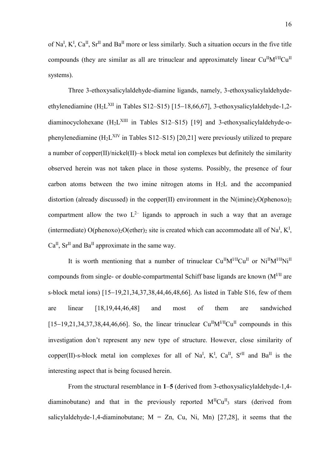of Na<sup>I</sup>, K<sup>I</sup>, Ca<sup>II</sup>, Sr<sup>II</sup> and Ba<sup>II</sup> more or less similarly. Such a situation occurs in the five title compounds (they are similar as all are trinuclear and approximately linear  $Cu<sup>H</sup>M<sup>UH</sup>Cu<sup>H</sup>$ systems).

Three 3-ethoxysalicylaldehyde-diamine ligands, namely, 3-ethoxysalicylaldehydeethylenediamine (H2L<sup>XII</sup> in Tables S12–S15) [15–18,66,67], 3-ethoxysalicylaldehyde-1,2diaminocyclohexane (H<sub>2</sub>L<sup>XIII</sup> in Tables S12–S15) [19] and 3-ethoxysalicylaldehyde-ophenylenediamine ( $H_2L^{XIV}$  in Tables S12–S15) [20,21] were previously utilized to prepare a number of copper(II)/nickel(II)–s block metal ion complexes but definitely the similarity observed herein was not taken place in those systems. Possibly, the presence of four carbon atoms between the two imine nitrogen atoms in  $H<sub>2</sub>L$  and the accompanied distortion (already discussed) in the copper(II) environment in the  $N(imine)_{2}O(phenoxo)_{2}$ compartment allow the two  $L^{2-}$  ligands to approach in such a way that an average (intermediate) O(phenoxo)<sub>2</sub>O(ether)<sub>2</sub> site is created which can accommodate all of Na<sup>I</sup>, K<sup>I</sup>,  $Ca^{II}$ ,  $Sr^{II}$  and  $Ba^{II}$  approximate in the same way.

It is worth mentioning that a number of trinuclear  $Cu^{II}M^{I/II}Cu^{II}$  or  $Ni^{II}M^{I/II}Ni^{II}$ compounds from single- or double-compartmental Schiff base ligands are known  $(M<sup>III</sup>$  are s-block metal ions) [15−19,21,34,37,38,44,46,48,66]. As listed in Table S16, few of them are linear [18,19,44,46,48] and most of them are sandwiched  $[15–19,21,34,37,38,44,46,66]$ . So, the linear trinuclear Cu<sup>II</sup>M<sup>I/II</sup>Cu<sup>II</sup> compounds in this investigation don't represent any new type of structure. However, close similarity of copper(II)-s-block metal ion complexes for all of Na<sup>I</sup>, K<sup>I</sup>, Ca<sup>II</sup>, S<sup>rII</sup> and Ba<sup>II</sup> is the interesting aspect that is being focused herein.

From the structural resemblance in **1**–**5** (derived from 3-ethoxysalicylaldehyde-1,4 diaminobutane) and that in the previously reported  $M<sup>H</sup>Cu<sup>H</sup>$  stars (derived from salicylaldehyde-1,4-diaminobutane;  $M = Zn$ , Cu, Ni, Mn) [27,28], it seems that the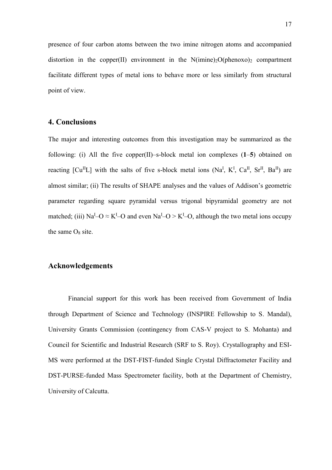presence of four carbon atoms between the two imine nitrogen atoms and accompanied distortion in the copper(II) environment in the  $N(imine)_{2}O(phenoxo)_{2}$  compartment facilitate different types of metal ions to behave more or less similarly from structural point of view.

## **4. Conclusions**

The major and interesting outcomes from this investigation may be summarized as the following: (i) All the five copper(II)–s-block metal ion complexes (**1**–**5**) obtained on reacting  $\lbrack Cu^{II}L \rbrack$  with the salts of five s-block metal ions (Na<sup>I</sup>, K<sup>I</sup>, Ca<sup>II</sup>, Sr<sup>II</sup>, Ba<sup>II</sup>) are almost similar; (ii) The results of SHAPE analyses and the values of Addison's geometric parameter regarding square pyramidal versus trigonal bipyramidal geometry are not matched; (iii) Na<sup>I</sup>-O  $\approx$  K<sup>I</sup>-O and even Na<sup>I</sup>-O  $>$  K<sup>I</sup>-O, although the two metal ions occupy the same  $O_8$  site.

# **Acknowledgements**

Financial support for this work has been received from Government of India through Department of Science and Technology (INSPIRE Fellowship to S. Mandal), University Grants Commission (contingency from CAS-V project to S. Mohanta) and Council for Scientific and Industrial Research (SRF to S. Roy). Crystallography and ESI-MS were performed at the DST-FIST-funded Single Crystal Diffractometer Facility and DST-PURSE-funded Mass Spectrometer facility, both at the Department of Chemistry, University of Calcutta.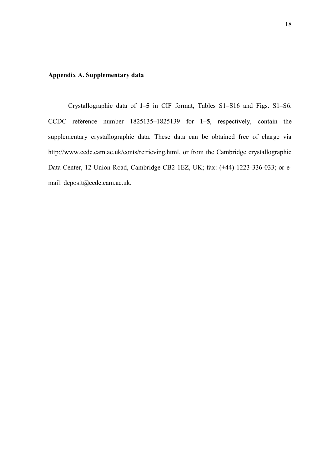## **Appendix A. Supplementary data**

Crystallographic data of **1**–**5** in CIF format, Tables S1–S16 and Figs. S1–S6. CCDC reference number 1825135–1825139 for **1**–**5**, respectively, contain the supplementary crystallographic data. These data can be obtained free of charge via http://www.ccdc.cam.ac.uk/conts/retrieving.html, or from the Cambridge crystallographic Data Center, 12 Union Road, Cambridge CB2 1EZ, UK; fax: (+44) 1223-336-033; or email: deposit@ccdc.cam.ac.uk.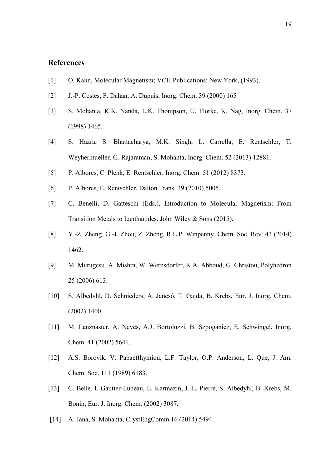# **References**

- [1] O. Kahn, Molecular Magnetism; VCH Publications: New York, (1993).
- [2] J.-P. Costes, F. Dahan, A. Dupuis, Inorg. Chem. 39 (2000) 165
- [3] S. Mohanta, K.K. Nanda, L.K. Thompson, U. Flörke, K. Nag, Inorg. Chem. 37 (1998) 1465.
- [4] S. Hazra, S. Bhattacharya, M.K. Singh, L. Carrella, E. Rentschler, T. Weyhermueller, G. Rajaraman, S. Mohanta, Inorg. Chem. 52 (2013) 12881.
- [5] P. Albores,́C. Plenk, E. Rentschler, Inorg. Chem. 51 (2012) 8373.
- [6] P. Albores, E. Rentschler, Dalton Trans. 39 (2010) 5005.
- [7] C. Benelli, D. Gatteschi (Eds.), Introduction to Molecular Magnetism: From Transition Metals to Lanthanides. John Wiley & Sons (2015).
- [8] Y.-Z. Zheng, G.-J. Zhou, Z. Zheng, R.E.P. Winpenny, Chem. Soc. Rev. 43 (2014) 1462.
- [9] M. Murugesu, A. Mishra, W. Wernsdorfer, K.A. Abboud, G. Christou, Polyhedron 25 (2006) 613.
- [10] S. Albedyhl, D. Schnieders, A. Jancsó, T. Gajda, B. Krebs, Eur. J. Inorg. Chem. (2002) 1400.
- [11] M. Lanznaster, A. Neves, A.J. Bortoluzzi, B. Szpoganicz, E. Schwingel, Inorg. Chem. 41 (2002) 5641.
- [12] A.S. Borovik, V. Papaefthymiou, L.F. Taylor, O.P. Anderson, L. Que, J. Am. Chem. Soc. 111 (1989) 6183.
- [13] C. Belle, I. Gautier-Luneau, L. Karmazin, J.-L. Pierre, S. Albedyhl, B. Krebs, M. Bonin, Eur. J. Inorg. Chem. (2002) 3087.
- [14] A. Jana, S. Mohanta, CrystEngComm 16 (2014) 5494.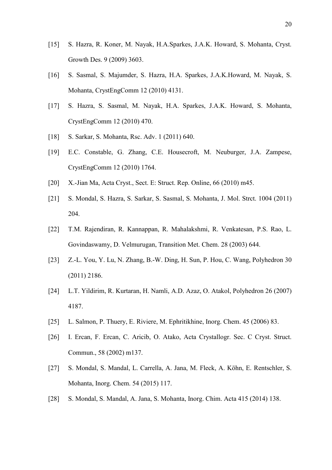- [15] S. Hazra, R. Koner, M. Nayak, H.A.Sparkes, J.A.K. Howard, S. Mohanta, Cryst. Growth Des. 9 (2009) 3603.
- [16] S. Sasmal, S. Majumder, S. Hazra, H.A. Sparkes, J.A.K.Howard, M. Nayak, S. Mohanta, CrystEngComm 12 (2010) 4131.
- [17] S. Hazra, S. Sasmal, M. Nayak, H.A. Sparkes, J.A.K. Howard, S. Mohanta, CrystEngComm 12 (2010) 470.
- [18] S. Sarkar, S. Mohanta, Rsc. Adv. 1 (2011) 640.
- [19] E.C. Constable, G. Zhang, C.E. Housecroft, M. Neuburger, J.A. Zampese, CrystEngComm 12 (2010) 1764.
- [20] X.-Jian Ma, Acta Cryst., Sect. E: Struct. Rep. Online, 66 (2010) m45.
- [21] S. Mondal, S. Hazra, S. Sarkar, S. Sasmal, S. Mohanta, J. Mol. Strct. 1004 (2011) 204.
- [22] T.M. Rajendiran, R. Kannappan, R. Mahalakshmi, R. Venkatesan, P.S. Rao, L. Govindaswamy, D. Velmurugan, Transition Met. Chem. 28 (2003) 644.
- [23] Z.-L. You, Y. Lu, N. Zhang, B.-W. Ding, H. Sun, P. Hou, C. Wang, Polyhedron 30 (2011) 2186.
- [24] L.T. Yildirim, R. Kurtaran, H. Namli, A.D. Azaz, O. Atakol, Polyhedron 26 (2007) 4187.
- [25] L. Salmon, P. Thuery, E. Riviere, M. Ephritikhine, Inorg. Chem. 45 (2006) 83.
- [26] I. Ercan, F. Ercan, C. Aricib, O. Atako, Acta Crystallogr. Sec. C Cryst. Struct. Commun., 58 (2002) m137.
- [27] S. Mondal, S. Mandal, L. Carrella, A. Jana, M. Fleck, A. Köhn, E. Rentschler, S. Mohanta, Inorg. Chem. 54 (2015) 117.
- [28] S. Mondal, S. Mandal, A. Jana, S. Mohanta, Inorg. Chim. Acta 415 (2014) 138.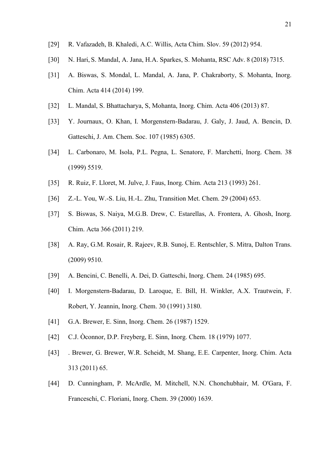- [29] R. Vafazadeh, B. Khaledi, A.C. Willis, Acta Chim. Slov. 59 (2012) 954.
- [30] N. Hari, S. Mandal, A. Jana, H.A. Sparkes, S. Mohanta, RSC Adv. 8 (2018) 7315.
- [31] A. Biswas, S. Mondal, L. Mandal, A. Jana, P. Chakraborty, S. Mohanta, Inorg. Chim. Acta 414 (2014) 199.
- [32] L. Mandal, S. Bhattacharya, S, Mohanta, Inorg. Chim. Acta 406 (2013) 87.
- [33] Y. Journaux, O. Khan, I. Morgenstern-Badarau, J. Galy, J. Jaud, A. Bencin, D. Gatteschi, J. Am. Chem. Soc. 107 (1985) 6305.
- [34] L. Carbonaro, M. Isola, P.L. Pegna, L. Senatore, F. Marchetti, Inorg. Chem. 38 (1999) 5519.
- [35] R. Ruiz, F. Lloret, M. Julve, J. Faus, Inorg. Chim. Acta 213 (1993) 261.
- [36] Z.-L. You, W.-S. Liu, H.-L. Zhu, Transition Met. Chem. 29 (2004) 653.
- [37] S. Biswas, S. Naiya, M.G.B. Drew, C. Estarellas, A. Frontera, A. Ghosh, Inorg. Chim. Acta 366 (2011) 219.
- [38] A. Ray, G.M. Rosair, R. Rajeev, R.B. Sunoj, E. Rentschler, S. Mitra, Dalton Trans. (2009) 9510.
- [39] A. Bencini, C. Benelli, A. Dei, D. Gatteschi, Inorg. Chem. 24 (1985) 695.
- [40] I. Morgenstern-Badarau, D. Laroque, E. Bill, H. Winkler, A.X. Trautwein, F. Robert, Y. Jeannin, Inorg. Chem. 30 (1991) 3180.
- [41] [G.A. Brewer,](https://pubs.acs.org/author/Brewer%2C+Greg+A.) [E. Sinn,](https://pubs.acs.org/author/Sinn%2C+Ekk) Inorg. Chem. 26 (1987) 1529.
- [42] C.J. Òconnor, D.P. Freyberg, E. Sinn, Inorg. Chem. 18 (1979) 1077.
- [43] . Brewer, G. Brewer, W.R. Scheidt, M. Shang, E.E. Carpenter, Inorg. Chim. Acta 313 (2011) 65.
- [44] D. Cunningham, P. McArdle, M. Mitchell, N.N. Chonchubhair, M. O'Gara, F. Franceschi, C. Floriani, Inorg. Chem. 39 (2000) 1639.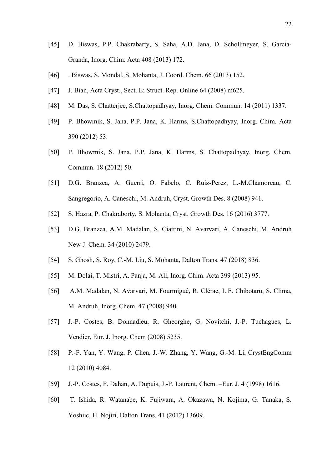- [45] D. Biswas, P.P. Chakrabarty, S. Saha, A.D. Jana, D. Schollmeyer, S. Garcia-Granda, Inorg. Chim. Acta 408 (2013) 172.
- [46] . Biswas, S. Mondal, S. Mohanta, J. Coord. Chem. 66 (2013) 152.
- [47] J. Bian, Acta Cryst., Sect. E: Struct. Rep. Online 64 (2008) m625.
- [48] M. Das, S. Chatterjee, S. Chattopadhyay, Inorg. Chem. Commun. 14 (2011) 1337.
- [49] P. Bhowmik, S. Jana, P.P. Jana, K. Harms, S.Chattopadhyay, Inorg. Chim. Acta 390 (2012) 53.
- [50] P. Bhowmik, S. Jana, P.P. Jana, K. Harms, S. Chattopadhyay, Inorg. Chem. Commun. 18 (2012) 50.
- [51] D.G. Branzea, A. Guerri, O. Fabelo, C. Ruiz-Perez, L.-M.Chamoreau, C. Sangregorio, A. Caneschi, M. Andruh, Cryst. Growth Des. 8 (2008) 941.
- [52] S. Hazra, P. Chakraborty, S. Mohanta, Cryst. Growth Des. 16 (2016) 3777.
- [53] D.G. Branzea, A.M. Madalan, S. Ciattini, N. Avarvari, A. Caneschi, M. Andruh New J. Chem. 34 (2010) 2479.
- [54] S. Ghosh, S. Roy, C.-M. Liu, S. Mohanta, Dalton Trans. 47 (2018) 836.
- [55] M. Dolai, T. Mistri, A. Panja, M. Ali, Inorg. Chim. Acta 399 (2013) 95.
- [56] A.M. Madalan, N. Avarvari, M. Fourmigué, R. Clérac, L.F. Chibotaru, S. Clima, M. Andruh, Inorg. Chem. 47 (2008) 940.
- [57] J.-P. Costes, B. Donnadieu, R. Gheorghe, G. Novitchi, J.-P. Tuchagues, L. Vendier, Eur. J. Inorg. Chem (2008) 5235.
- [58] P.-F. Yan, Y. Wang, P. Chen, J.-W. Zhang, Y. Wang, G.-M. Li, CrystEngComm 12 (2010) 4084.
- [59] J.-P. Costes, F. Dahan, A. Dupuis, J.-P. Laurent, Chem. −Eur. J. 4 (1998) 1616.
- [60] T. Ishida, R. Watanabe, K. Fujiwara, A. Okazawa, N. Kojima, G. Tanaka, S. Yoshiic, H. Nojiri, Dalton Trans. 41 (2012) 13609.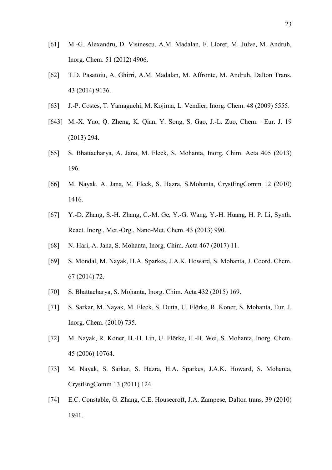- [61] M.-G. Alexandru, D. Visinescu, A.M. Madalan, F. Lloret, M. Julve, M. Andruh, Inorg. Chem. 51 (2012) 4906.
- [62] T.D. Pasatoiu, A. Ghirri, A.M. Madalan, M. Affronte, M. Andruh, Dalton Trans. 43 (2014) 9136.
- [63] J.-P. Costes, T. Yamaguchi, M. Kojima, L. Vendier, Inorg. Chem. 48 (2009) 5555.
- [643] M.-X. Yao, Q. Zheng, K. Qian, Y. Song, S. Gao, J.-L. Zuo, Chem. −Eur. J. 19 (2013) 294.
- [65] S. Bhattacharya, A. Jana, M. Fleck, S. Mohanta, Inorg. Chim. Acta 405 (2013) 196.
- [66] M. Nayak, A. Jana, M. Fleck, S. Hazra, S.Mohanta, CrystEngComm 12 (2010) 1416.
- [67] Y.-D. Zhang, S.-H. Zhang, C.-M. Ge, Y.-G. Wang, Y.-H. Huang, H. P. Li, Synth. React. Inorg., Met.-Org., Nano-Met. Chem. 43 (2013) 990.
- [68] N. Hari, A. Jana, S. Mohanta, Inorg. Chim. Acta 467 (2017) 11.
- [69] S. Mondal, M. Nayak, H.A. Sparkes, J.A.K. Howard, S. Mohanta, J. Coord. Chem. 67 (2014) 72.
- [70] S. Bhattacharya, S. Mohanta, Inorg. Chim. Acta 432 (2015) 169.
- [71] S. Sarkar, M. Nayak, M. Fleck, S. Dutta, U. Flörke, R. Koner, S. Mohanta, Eur. J. Inorg. Chem. (2010) 735.
- [72] M. Nayak, R. Koner, H.-H. Lin, U. Flörke, H.-H. Wei, S. Mohanta, Inorg. Chem. 45 (2006) 10764.
- [73] M. Nayak, S. Sarkar, S. Hazra, H.A. Sparkes, J.A.K. Howard, S. Mohanta, CrystEngComm 13 (2011) 124.
- [74] E.C. Constable, G. Zhang, C.E. Housecroft, J.A. Zampese, Dalton trans. 39 (2010) 1941.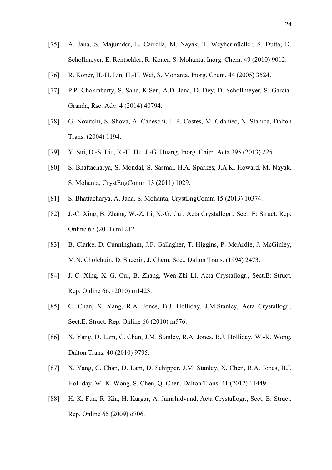- [75] A. Jana, S. Majumder, L. Carrella, M. Nayak, T. Weyhermüeller, S. Dutta, D. Schollmeyer, E. Rentschler, R. Koner, S. Mohanta, Inorg. Chem. 49 (2010) 9012.
- [76] R. Koner, H.-H. Lin, H.-H. Wei, S. Mohanta, Inorg. Chem. 44 (2005) 3524.
- [77] P.P. Chakrabarty, S. Saha, K.Sen, A.D. Jana, D. Dey, D. Schollmeyer, S. Garcia-Granda, Rsc. Adv. 4 (2014) 40794.
- [78] G. Novitchi, S. Shova, A. Caneschi, J.-P. Costes, M. Gdaniec, N. Stanica, Dalton Trans. (2004) 1194.
- [79] Y. Sui, D.-S. Liu, R.-H. Hu, J.-G. Huang, Inorg. Chim. Acta 395 (2013) 225.
- [80] S. Bhattacharya, S. Mondal, S. Sasmal, H.A. Sparkes, J.A.K. Howard, M. Nayak, S. Mohanta, CrystEngComm 13 (2011) 1029.
- [81] S. Bhattacharya, A. Jana, S. Mohanta, CrystEngComm 15 (2013) 10374.
- [82] J.-C. Xing, B. Zhang, W.-Z. Li, X.-G. Cui, Acta Crystallogr., Sect. E: Struct. Rep. Online 67 (2011) m1212.
- [83] B. Clarke, D. Cunningham, J.F. Gallagher, T. Higgins, P. McArdle, J. McGinley, M.N. Cholchuin, D. Sheerin, J. Chem. Soc., Dalton Trans. (1994) 2473.
- [84] J.-C. Xing, X.-G. Cui, B. Zhang, Wen-Zhi Li, Acta Crystallogr., Sect.E: Struct. Rep. Online 66, (2010) m1423.
- [85] C. Chan, X. Yang, R.A. Jones, B.J. Holliday, J.M.Stanley, Acta Crystallogr., Sect.E: Struct. Rep. Online 66 (2010) m576.
- [86] X. Yang, D. Lam, C. Chan, J.M. Stanley, R.A. Jones, B.J. Holliday, W.-K. Wong, Dalton Trans. 40 (2010) 9795.
- [87] X. Yang, C. Chan, D. Lam, D. Schipper, J.M. Stanley, X. Chen, R.A. Jones, B.J. Holliday, W.-K. Wong, S. Chen, Q. Chen, Dalton Trans. 41 (2012) 11449.
- [88] H.-K. Fun, R. Kia, H. Kargar, A. Jamshidvand, Acta Crystallogr., Sect. E: Struct. Rep. Online 65 (2009) o706.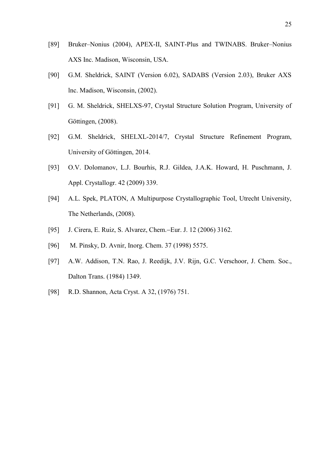- [89] Bruker–Nonius (2004), APEX-II, SAINT-Plus and TWINABS. Bruker–Nonius AXS Inc. Madison, Wisconsin, USA.
- [90] G.M. Sheldrick, SAINT (Version 6.02), SADABS (Version 2.03), Bruker AXS lnc. Madison, Wisconsin, (2002).
- [91] G. M. Sheldrick, SHELXS-97, Crystal Structure Solution Program, University of Göttingen, (2008).
- [92] G.M. Sheldrick, SHELXL-2014/7, Crystal Structure Refinement Program, University of Göttingen, 2014.
- [93] O.V. Dolomanov, L.J. Bourhis, R.J. Gildea, J.A.K. Howard, H. Puschmann, J. Appl. Crystallogr. 42 (2009) 339.
- [94] A.L. Spek, PLATON, A Multipurpose Crystallographic Tool, Utrecht University, The Netherlands, (2008).
- [95] J. Cirera, E. Ruiz, S. Alvarez, Chem.−Eur. J. 12 (2006) 3162.
- [96] M. Pinsky, D. Avnir, Inorg. Chem. 37 (1998) 5575.
- [97] A.W. Addison, T.N. Rao, J. Reedijk, J.V. Rijn, G.C. Verschoor, J. Chem. Soc., Dalton Trans. (1984) 1349.
- [98] R.D. Shannon, Acta Cryst. A 32, (1976) 751.